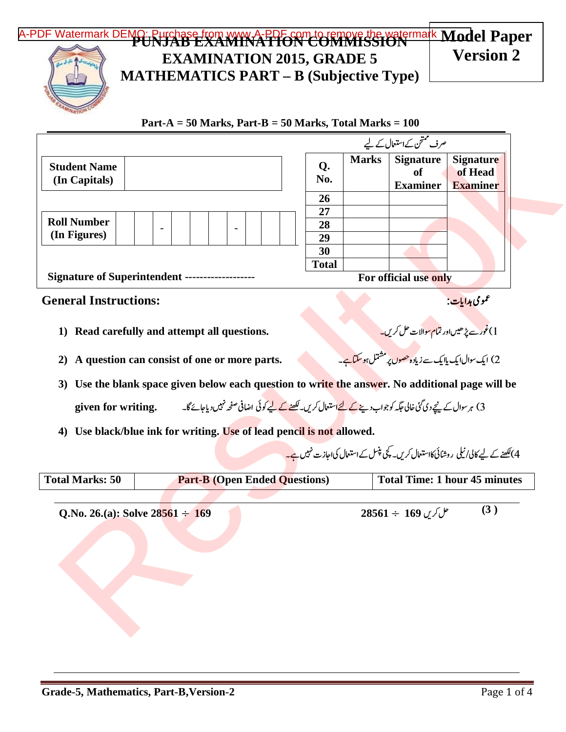## [A-PDF Watermark DEMO: Purchase from www.A-PDF.com to remove the watermark](http://www.a-pdf.com/?wm-demo) Model Paper **Version 2**



## **EXAMINATION 2015, GRADE 5 MATHEMATICS PART – B (Subjective Type)**

 **Part-A = 50 Marks, Part-B = 50 Marks, Total Marks = 100** 

|                                      |                          |  |                       |  | صرف ممتحن کے استعال کے لیے |              |                                           |                                                |
|--------------------------------------|--------------------------|--|-----------------------|--|----------------------------|--------------|-------------------------------------------|------------------------------------------------|
| <b>Student Name</b><br>(In Capitals) |                          |  |                       |  | Q.<br>No.                  | <b>Marks</b> | <b>Signature</b><br>of<br><b>Examiner</b> | <b>Signature</b><br>of Head<br><b>Examiner</b> |
|                                      |                          |  |                       |  | 26                         |              |                                           |                                                |
| <b>Roll Number</b>                   | $\overline{\phantom{0}}$ |  | -                     |  | 27<br>28                   |              |                                           |                                                |
| (In Figures)                         |                          |  |                       |  | 29                         |              |                                           |                                                |
|                                      |                          |  |                       |  | 30                         |              |                                           |                                                |
|                                      |                          |  |                       |  | <b>Total</b>               |              |                                           |                                                |
| Signature of Superintendent --       |                          |  | For official use only |  |                            |              |                                           |                                                |

## **General Instructions:**

- **1) Read carefully and attempt all questions.** -
- **2) A question can consist of one or more parts.** !-
- **3) Use the blank space given below each question to write the answer. No additional page will be given for writing.** --(--)-\*+-,---./-0-1-2---354 >- <= -8-9-:; 6,---7- |<br>|<br>|
- **4) Use black/blue ink for writing. Use of lead pencil is not allowed.**

|                                                |                                                                                                                                               |  |              |                                                                                                            | صرف متحن کے استعال کے لیے                 |                                                                                           |  |  |  |
|------------------------------------------------|-----------------------------------------------------------------------------------------------------------------------------------------------|--|--------------|------------------------------------------------------------------------------------------------------------|-------------------------------------------|-------------------------------------------------------------------------------------------|--|--|--|
| <b>Student Name</b><br>(In Capitals)           |                                                                                                                                               |  | Q.<br>No.    | <b>Marks</b>                                                                                               | <b>Signature</b><br>of<br><b>Examiner</b> | <b>Signature</b><br>of Head<br><b>Examiner</b>                                            |  |  |  |
|                                                |                                                                                                                                               |  | <b>26</b>    |                                                                                                            |                                           |                                                                                           |  |  |  |
|                                                |                                                                                                                                               |  | 27           |                                                                                                            |                                           |                                                                                           |  |  |  |
| <b>Roll Number</b><br>(In Figures)             |                                                                                                                                               |  | 28<br>29     |                                                                                                            |                                           |                                                                                           |  |  |  |
|                                                |                                                                                                                                               |  | 30           |                                                                                                            |                                           |                                                                                           |  |  |  |
|                                                |                                                                                                                                               |  | <b>Total</b> |                                                                                                            |                                           |                                                                                           |  |  |  |
| Signature of Superintendent ------------------ |                                                                                                                                               |  |              | For official use only                                                                                      |                                           |                                                                                           |  |  |  |
| <b>General Instructions:</b>                   |                                                                                                                                               |  |              |                                                                                                            | <i>عم</i> ومی ہدایات:                     |                                                                                           |  |  |  |
| 1)                                             | Read carefully and attempt all questions.                                                                                                     |  |              | ۔ ۔ ۔<br>1)غور سے پڑھیںاور تمام سوالات حل کریں۔<br>2) ایک سوال ایک بلایک سے زیادہ حصوں پر مشتل ہو سکتا ہے۔ |                                           |                                                                                           |  |  |  |
| 2)                                             | A question can consist of one or more parts.                                                                                                  |  |              |                                                                                                            |                                           |                                                                                           |  |  |  |
| 3)                                             | Use the blank space given below each question to write the answer. No additional page will be                                                 |  |              |                                                                                                            |                                           |                                                                                           |  |  |  |
|                                                | 3) ہر سوال کے نیچے دی گئی خالی جگہ کو جواب دینے <u>کے لئے</u> استع <sub>ا</sub> ل کریں۔ <u>لکھنے کے ل</u> یے کوئی اضافی صفحہ نہیں دیاجائے گا۔ |  |              |                                                                                                            |                                           |                                                                                           |  |  |  |
| given for writing.                             |                                                                                                                                               |  |              |                                                                                                            |                                           |                                                                                           |  |  |  |
| $\boldsymbol{4}$                               | Use black/blue ink for writing. Use of lead pencil is not allowed.                                                                            |  |              |                                                                                                            |                                           |                                                                                           |  |  |  |
|                                                |                                                                                                                                               |  |              |                                                                                                            |                                           | 4)لکھنے کے لیے کالی/نیلی روشائی کااستعال کریں۔ کچی پنسل کےاستعال کیاجازت نہی <u>ں ہے۔</u> |  |  |  |
| <b>Total Marks: 50</b>                         | <b>Part-B (Open Ended Questions)</b>                                                                                                          |  |              |                                                                                                            |                                           | <b>Total Time: 1 hour 45 minutes</b>                                                      |  |  |  |
|                                                |                                                                                                                                               |  |              |                                                                                                            |                                           |                                                                                           |  |  |  |
| Q.No. 26.(a): Solve $28561 \div 169$           |                                                                                                                                               |  |              |                                                                                                            | $28561 \div 169$ کل کریں                  | (3)                                                                                       |  |  |  |
|                                                |                                                                                                                                               |  |              |                                                                                                            |                                           |                                                                                           |  |  |  |
|                                                |                                                                                                                                               |  |              |                                                                                                            |                                           |                                                                                           |  |  |  |
|                                                |                                                                                                                                               |  |              |                                                                                                            |                                           |                                                                                           |  |  |  |
|                                                |                                                                                                                                               |  |              |                                                                                                            |                                           |                                                                                           |  |  |  |
|                                                |                                                                                                                                               |  |              |                                                                                                            |                                           |                                                                                           |  |  |  |
|                                                |                                                                                                                                               |  |              |                                                                                                            |                                           |                                                                                           |  |  |  |

عمومی ہدایا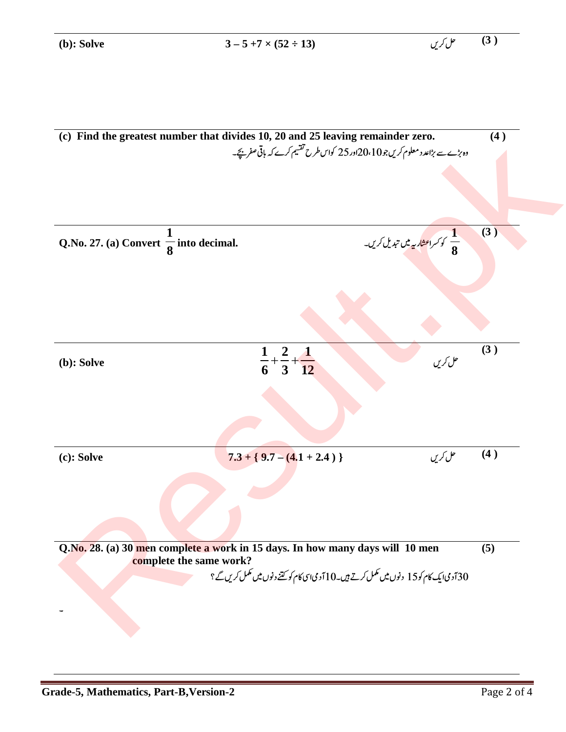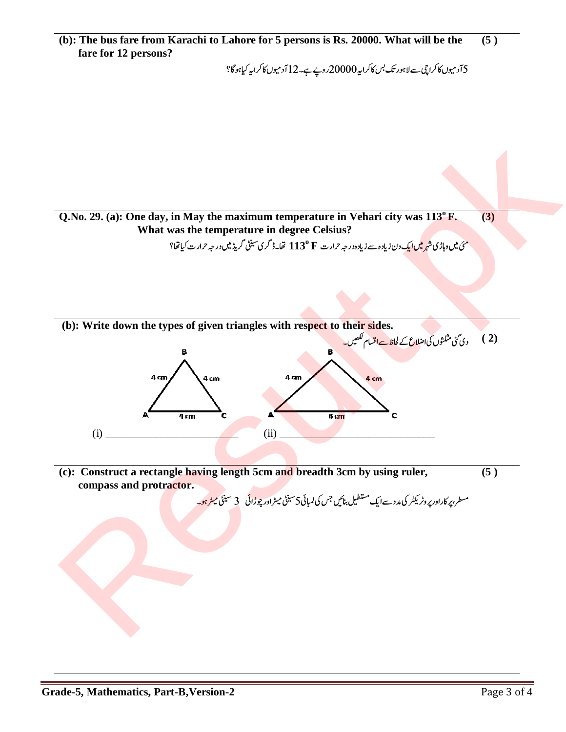5 آدمیوں کا کراچی سے لاہور تک <sup>پس کا</sup>کرایہ 20000 روپے ہے۔12 آدمیوں کا کرایہ کیاہوگا؟